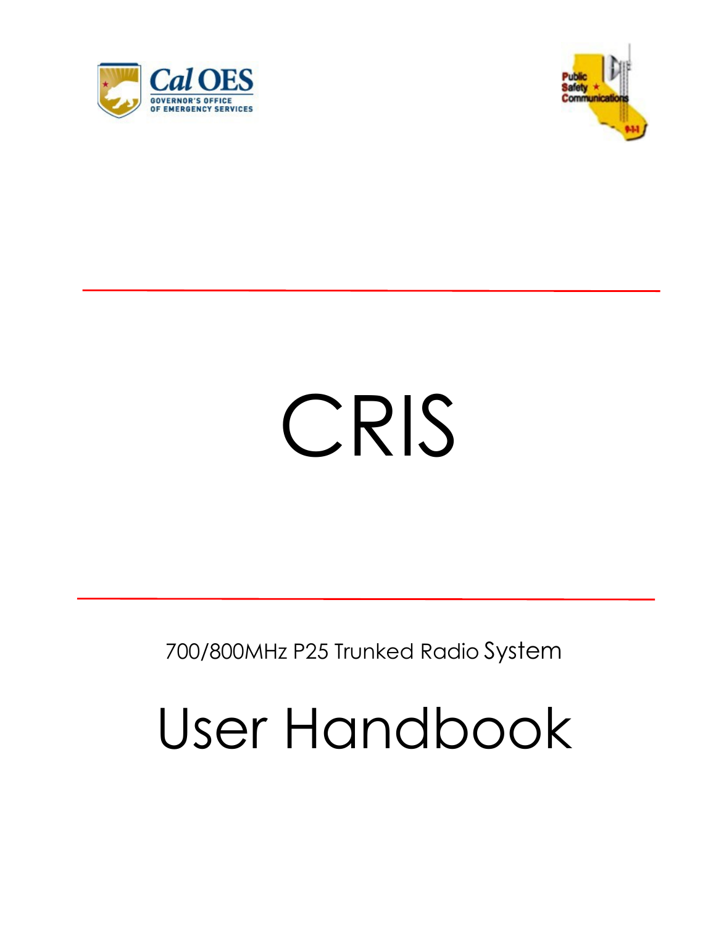



# CRIS

700/800MHz P25 Trunked Radio System

# User Handbook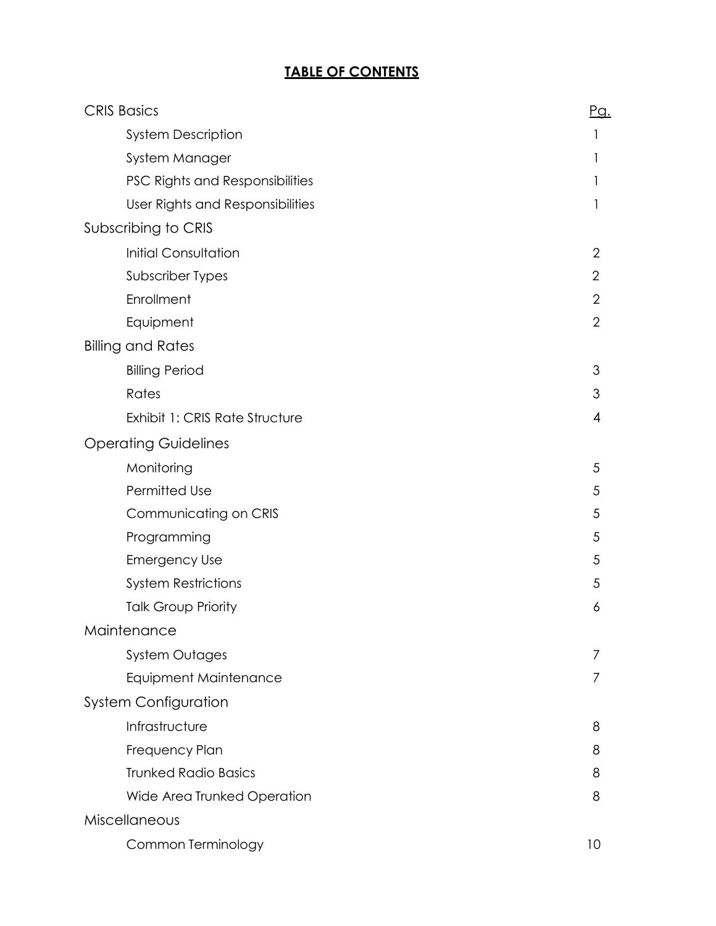#### **TABLE OF CONTENTS**

| <b>CRIS Basics</b>               | <u>Pg.</u>     |
|----------------------------------|----------------|
| <b>System Description</b>        |                |
| System Manager                   | 1              |
| PSC Rights and Responsibilities  |                |
| User Rights and Responsibilities |                |
| Subscribing to CRIS              |                |
| <b>Initial Consultation</b>      | 2              |
| Subscriber Types                 | $\overline{2}$ |
| Enrollment                       | 2              |
| Equipment                        | $\overline{2}$ |
| <b>Billing and Rates</b>         |                |
| <b>Billing Period</b>            | 3              |
| Rates                            | 3              |
| Exhibit 1: CRIS Rate Structure   | 4              |
| <b>Operating Guidelines</b>      |                |
| Monitoring                       | 5              |
| Permitted Use                    | 5              |
| Communicating on CRIS            | 5              |
| Programming                      | 5              |
| <b>Emergency Use</b>             | 5              |
| <b>System Restrictions</b>       | 5              |
| <b>Talk Group Priority</b>       | 6              |
| Maintenance                      |                |
| <b>System Outages</b>            |                |
| <b>Equipment Maintenance</b>     | $\prime$       |
| <b>System Configuration</b>      |                |
| Infrastructure                   | 8              |
| Frequency Plan                   | 8              |
| <b>Trunked Radio Basics</b>      | 8              |
| Wide Area Trunked Operation      | 8              |
| Miscellaneous                    |                |
| Common Terminology               | 10             |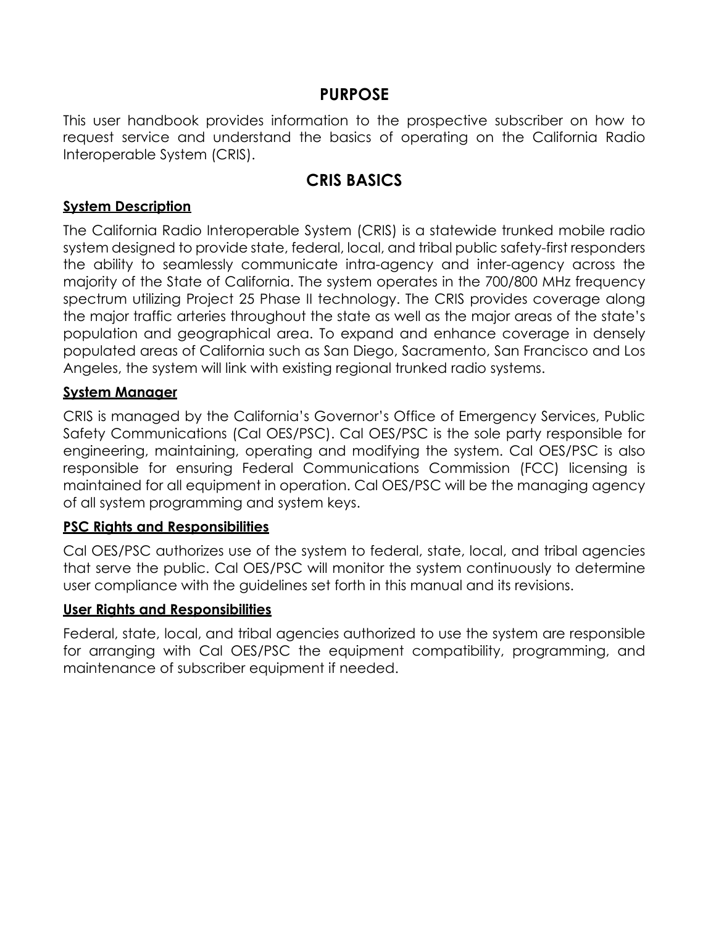#### **PURPOSE**

This user handbook provides information to the prospective subscriber on how to request service and understand the basics of operating on the California Radio Interoperable System (CRIS).

#### **CRIS BASICS**

#### <span id="page-2-0"></span>**System Description**

The California Radio Interoperable System (CRIS) is a statewide trunked mobile radio system designed to provide state, federal, local, and tribal public safety-first responders the ability to seamlessly communicate intra-agency and inter-agency across the majority of the State of California. The system operates in the 700/800 MHz frequency spectrum utilizing Project 25 Phase II technology. The CRIS provides coverage along the major traffic arteries throughout the state as well as the major areas of the state's population and geographical area. To expand and enhance coverage in densely populated areas of California such as San Diego, Sacramento, San Francisco and Los Angeles, the system will link with existing regional trunked radio systems.

#### <span id="page-2-1"></span>**System Manager**

CRIS is managed by the California's Governor's Office of Emergency Services, Public Safety Communications (Cal OES/PSC). Cal OES/PSC is the sole party responsible for engineering, maintaining, operating and modifying the system. Cal OES/PSC is also responsible for ensuring Federal Communications Commission (FCC) licensing is maintained for all equipment in operation. Cal OES/PSC will be the managing agency of all system programming and system keys.

#### <span id="page-2-2"></span>**PSC Rights and Responsibilities**

Cal OES/PSC authorizes use of the system to federal, state, local, and tribal agencies that serve the public. Cal OES/PSC will monitor the system continuously to determine user compliance with the guidelines set forth in this manual and its revisions.

#### <span id="page-2-3"></span>**User Rights and Responsibilities**

<span id="page-2-4"></span>Federal, state, local, and tribal agencies authorized to use the system are responsible for arranging with Cal OES/PSC the equipment compatibility, programming, and maintenance of subscriber equipment if needed.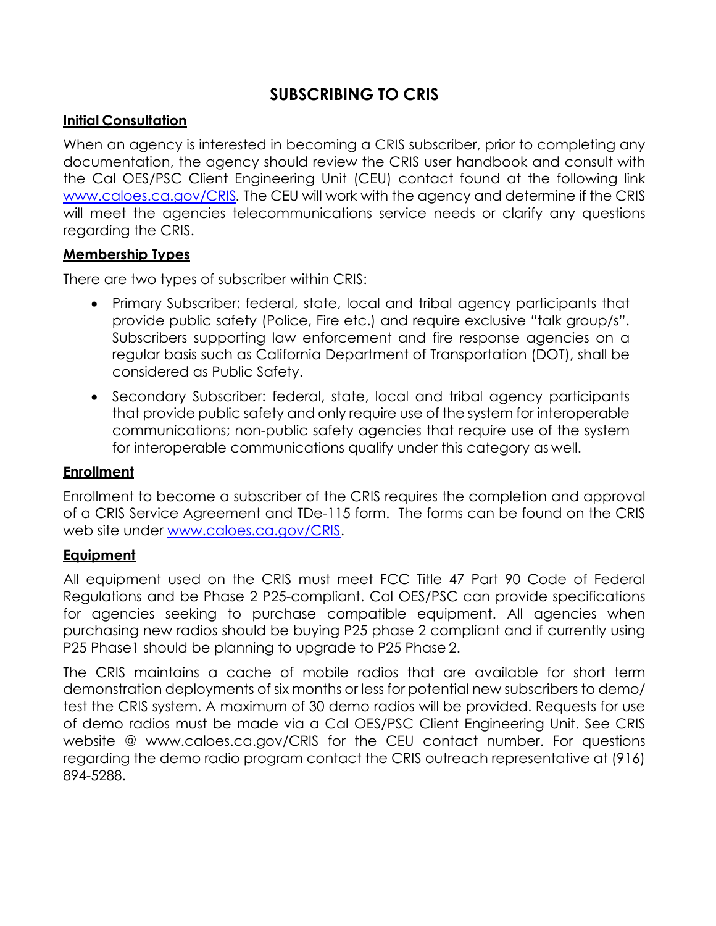# **SUBSCRIBING TO CRIS**

#### <span id="page-3-0"></span>**Initial Consultation**

When an agency is interested in becoming a CRIS subscriber, prior to completing any documentation, the agency should review the CRIS user handbook and consult with the Cal OES/PSC Client Engineering Unit (CEU) contact found at the following link [www.caloes.ca.gov/CRIS](http://www.caloes.ca.gov/CRIS)*.* The CEU will work with the agency and determine if the CRIS will meet the agencies telecommunications service needs or clarify any questions regarding the CRIS.

#### **Membership Types**

There are two types of subscriber within CRIS:

- Primary Subscriber: federal, state, local and tribal agency participants that provide public safety (Police, Fire etc.) and require exclusive "talk group/s". Subscribers supporting law enforcement and fire response agencies on a regular basis such as California Department of Transportation (DOT), shall be considered as Public Safety.
- Secondary Subscriber: federal, state, local and tribal agency participants that provide public safety and only require use of the system for interoperable communications; non-public safety agencies that require use of the system for interoperable communications qualify under this category as well.

#### <span id="page-3-1"></span>**Enrollment**

Enrollment to become a subscriber of the CRIS requires the completion and approval of a CRIS Service Agreement and TDe-115 form. The forms can be found on the CRIS web site under [www.caloes.ca.gov/CRIS.](http://www.caloes.ca.gov/CRIS)

#### <span id="page-3-2"></span>**Equipment**

All equipment used on the CRIS must meet FCC Title 47 Part 90 Code of Federal Regulations and be Phase 2 P25-compliant. Cal OES/PSC can provide specifications for agencies seeking to purchase compatible equipment. All agencies when purchasing new radios should be buying P25 phase 2 compliant and if currently using P25 Phase1 should be planning to upgrade to P25 Phase 2.

The CRIS maintains a cache of mobile radios that are available for short term demonstration deployments of six months or less for potential new subscribers to demo/ test the CRIS system. A maximum of 30 demo radios will be provided. Requests for use of demo radios must be made via a Cal OES/PSC Client Engineering Unit. See CRIS website @ [www.caloes.ca.gov/CRIS](http://www.caloes.ca.gov/CRIS) for the CEU contact number. For questions regarding the demo radio program contact the CRIS outreach representative at (916) 894-5288.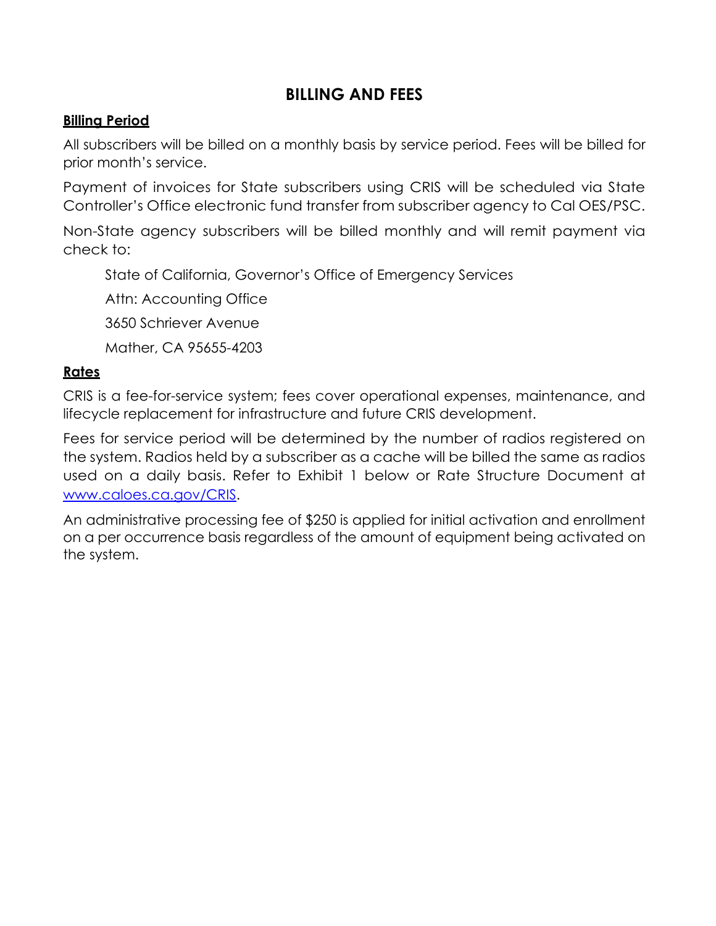# **BILLING AND FEES**

#### <span id="page-4-0"></span>**Billing Period**

All subscribers will be billed on a monthly basis by service period. Fees will be billed for prior month's service.

Payment of invoices for State subscribers using CRIS will be scheduled via State Controller's Office electronic fund transfer from subscriber agency to Cal OES/PSC.

Non-State agency subscribers will be billed monthly and will remit payment via check to:

State of California, Governor's Office of Emergency Services

Attn: Accounting Office

3650 Schriever Avenue

Mather, CA 95655-4203

#### <span id="page-4-1"></span>**Rates**

CRIS is a fee-for-service system; fees cover operational expenses, maintenance, and lifecycle replacement for infrastructure and future CRIS development.

Fees for service period will be determined by the number of radios registered on the system. Radios held by a subscriber as a cache will be billed the same as radios used on a daily basis. Refer to Exhibit 1 below or Rate Structure Document at [www.caloes.ca.gov/CRIS.](http://www.caloes.ca.gov/CRIS)

An administrative processing fee of \$250 is applied for initial activation and enrollment on a per occurrence basis regardless of the amount of equipment being activated on the system.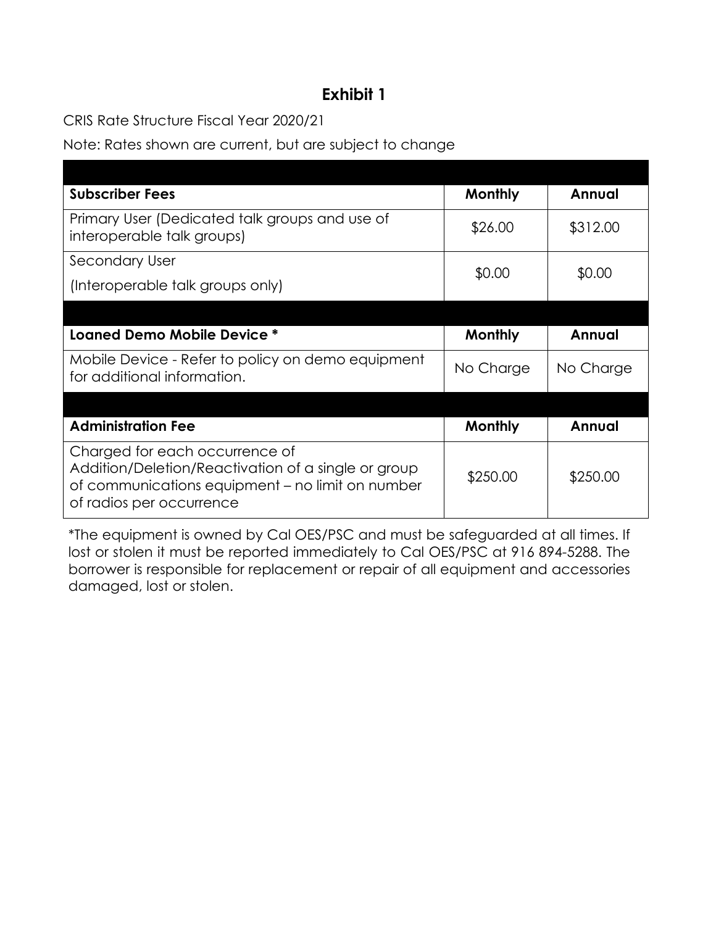# **Exhibit 1**

CRIS Rate Structure Fiscal Year 20*2*0*/*21

Note: Rates shown are current, but are subject to change

| <b>Subscriber Fees</b>                                                                                                                                                | Monthly        | Annual    |
|-----------------------------------------------------------------------------------------------------------------------------------------------------------------------|----------------|-----------|
| Primary User (Dedicated talk groups and use of<br>interoperable talk groups)                                                                                          | \$26.00        | \$312.00  |
| <b>Secondary User</b>                                                                                                                                                 | \$0.00         | \$0.00    |
| (Interoperable talk groups only)                                                                                                                                      |                |           |
|                                                                                                                                                                       |                |           |
| Loaned Demo Mobile Device *                                                                                                                                           | Monthly        | Annual    |
| Mobile Device - Refer to policy on demo equipment<br>for additional information.                                                                                      | No Charge      | No Charge |
|                                                                                                                                                                       |                |           |
| <b>Administration Fee</b>                                                                                                                                             | <b>Monthly</b> | Annual    |
| Charged for each occurrence of<br>Addition/Deletion/Reactivation of a single or group<br>of communications equipment - no limit on number<br>of radios per occurrence | \$250.00       | \$250.00  |

<span id="page-5-0"></span>\*The equipment is owned by Cal OES/PSC and must be safeguarded at all times. If lost or stolen it must be reported immediately to Cal OES/PSC at 916 894-5288. The borrower is responsible for replacement or repair of all equipment and accessories damaged, lost or stolen.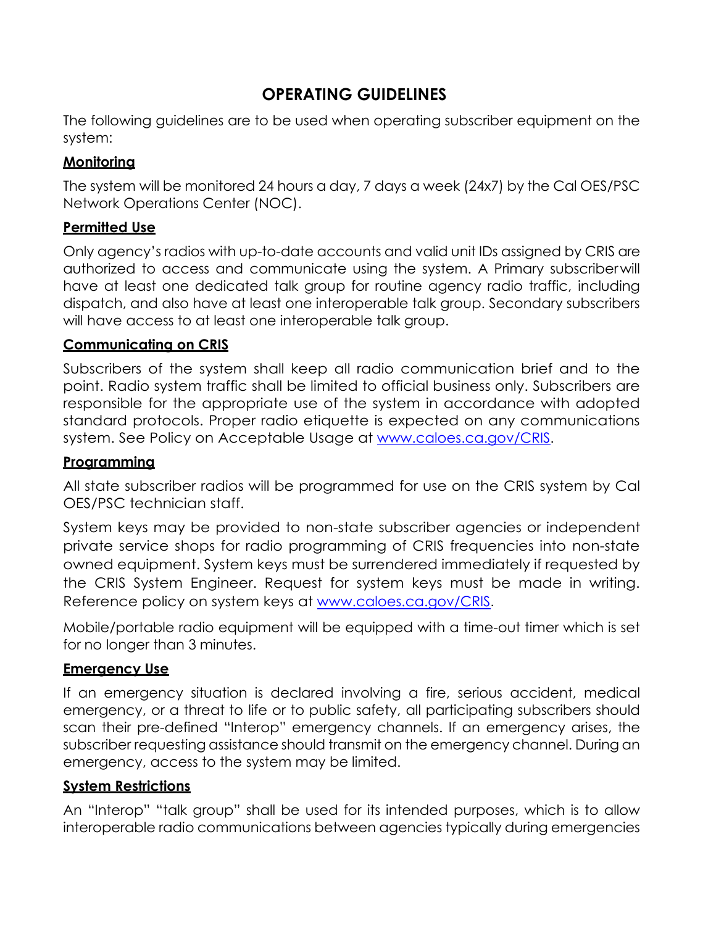# **OPERATING GUIDELINES**

The following guidelines are to be used when operating subscriber equipment on the system:

#### <span id="page-6-0"></span>**Monitoring**

The system will be monitored 24 hours a day, 7 days a week (24x7) by the Cal OES/PSC Network Operations Center (NOC).

#### <span id="page-6-1"></span>**Permitted Use**

Only agency's radios with up-to-date accounts and valid unit IDs assigned by CRIS are authorized to access and communicate using the system. A Primary subscriberwill have at least one dedicated talk group for routine agency radio traffic, including dispatch, and also have at least one interoperable talk group. Secondary subscribers will have access to at least one interoperable talk group.

#### <span id="page-6-2"></span>**Communicating on CRIS**

Subscribers of the system shall keep all radio communication brief and to the point. Radio system traffic shall be limited to official business only. Subscribers are responsible for the appropriate use of the system in accordance with adopted standard protocols. Proper radio etiquette is expected on any communications system. See Policy on Acceptable Usage at [www.caloes.ca.gov/CRIS](http://www.caloes.ca.gov/CRIS).

#### <span id="page-6-3"></span>**Programming**

All state subscriber radios will be programmed for use on the CRIS system by Cal OES/PSC technician staff.

System keys may be provided to non-state subscriber agencies or independent private service shops for radio programming of CRIS frequencies into non-state owned equipment. System keys must be surrendered immediately if requested by the CRIS System Engineer. Request for system keys must be made in writing. Reference policy on system keys at [www.caloes.ca.gov/CRIS](http://www.caloes.ca.gov/CRIS).

Mobile/portable radio equipment will be equipped with a time-out timer which is set for no longer than 3 minutes.

#### <span id="page-6-4"></span>**Emergency Use**

If an emergency situation is declared involving a fire, serious accident, medical emergency, or a threat to life or to public safety, all participating subscribers should scan their pre-defined "Interop" emergency channels. If an emergency arises, the subscriber requesting assistance should transmit on the emergency channel. During an emergency, access to the system may be limited.

#### <span id="page-6-5"></span>**System Restrictions**

An "Interop" "talk group" shall be used for its intended purposes, which is to allow interoperable radio communications between agencies typically during emergencies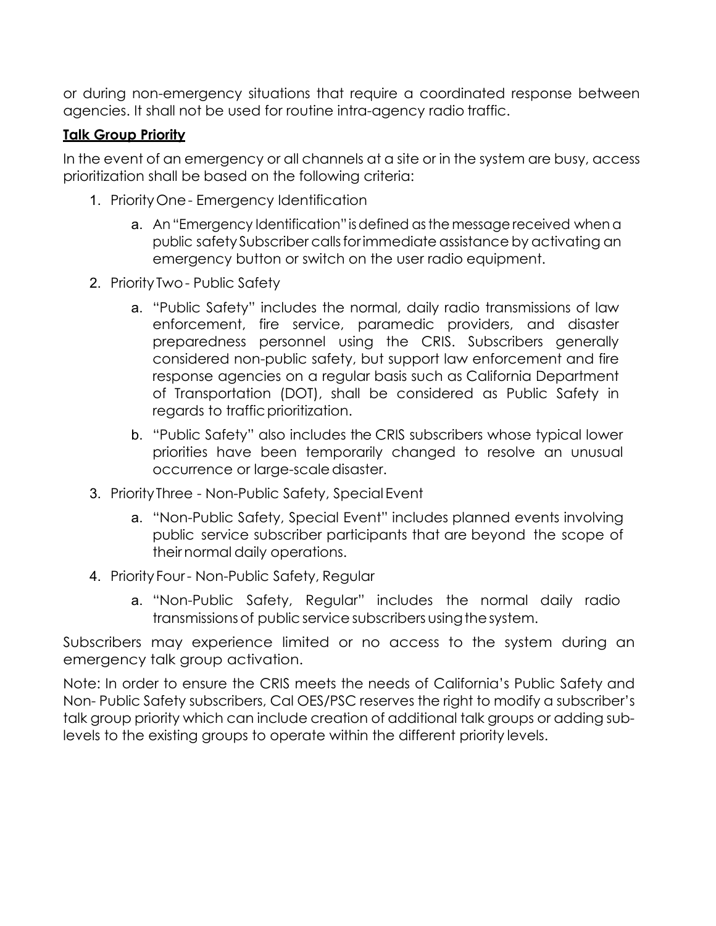or during non-emergency situations that require a coordinated response between agencies. It shall not be used for routine intra-agency radio traffic.

#### <span id="page-7-0"></span>**Talk Group Priority**

In the event of an emergency or all channels at a site or in the system are busy, access prioritization shall be based on the following criteria:

- 1. PriorityOne- Emergency Identification
	- a. An"Emergency Identification" isdefined asthe message received when a public safety Subscriber calls for immediate assistance by activating an emergency button or switch on the user radio equipment.
- 2. Priority Two- Public Safety
	- a. "Public Safety" includes the normal, daily radio transmissions of law enforcement, fire service, paramedic providers, and disaster preparedness personnel using the CRIS. Subscribers generally considered non-public safety, but support law enforcement and fire response agencies on a regular basis such as California Department of Transportation (DOT), shall be considered as Public Safety in regards to traffic prioritization.
	- b. "Public Safety" also includes the CRIS subscribers whose typical lower priorities have been temporarily changed to resolve an unusual occurrence or large-scaledisaster.
- 3. PriorityThree Non-Public Safety, Special Event
	- a. "Non-Public Safety, Special Event" includes planned events involving public service subscriber participants that are beyond the scope of theirnormal daily operations.
- 4. Priority Four Non-Public Safety, Regular
	- a. "Non-Public Safety, Regular" includes the normal daily radio transmissions of public service subscribers using the system.

Subscribers may experience limited or no access to the system during an emergency talk group activation.

<span id="page-7-1"></span>Note: In order to ensure the CRIS meets the needs of California's Public Safety and Non- Public Safety subscribers, Cal OES/PSC reserves the right to modify a subscriber's talk group priority which can include creation of additional talk groups or adding sublevels to the existing groups to operate within the different priority levels.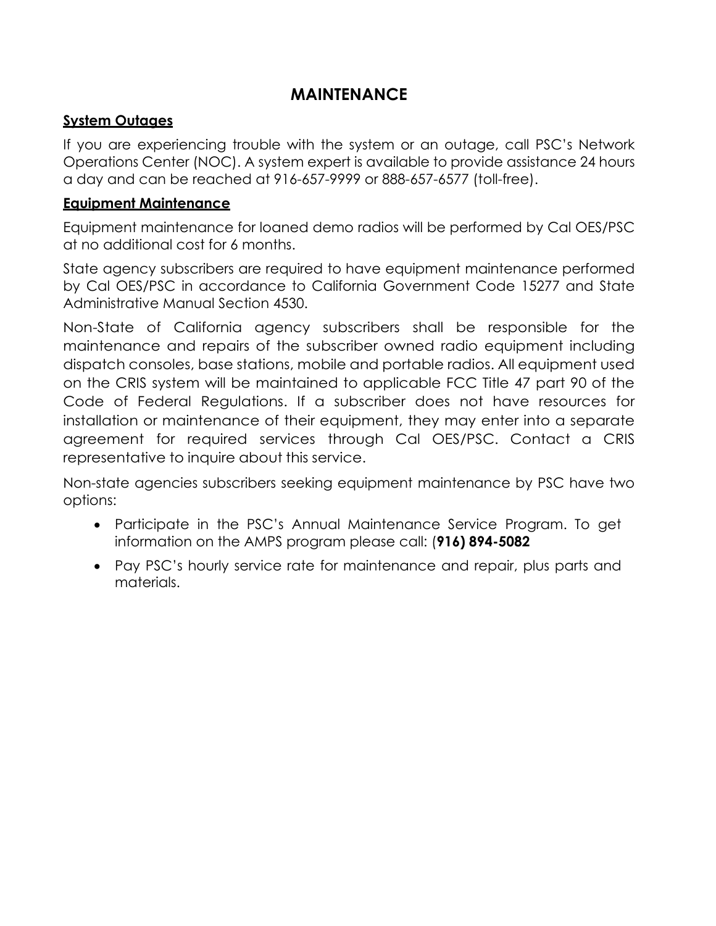# **MAINTENANCE**

#### <span id="page-8-0"></span>**System Outages**

If you are experiencing trouble with the system or an outage, call PSC's Network Operations Center (NOC). A system expert is available to provide assistance 24 hours a day and can be reached at 916-657-9999 or 888-657-6577 (toll-free).

#### <span id="page-8-1"></span>**Equipment Maintenance**

Equipment maintenance for loaned demo radios will be performed by Cal OES/PSC at no additional cost for 6 months.

State agency subscribers are required to have equipment maintenance performed by Cal OES/PSC in accordance to California Government Code 15277 and State Administrative Manual Section 4530.

Non-State of California agency subscribers shall be responsible for the maintenance and repairs of the subscriber owned radio equipment including dispatch consoles, base stations, mobile and portable radios. All equipment used on the CRIS system will be maintained to applicable FCC Title 47 part 90 of the Code of Federal Regulations. If a subscriber does not have resources for installation or maintenance of their equipment, they may enter into a separate agreement for required services through Cal OES/PSC. Contact a CRIS representative to inquire about this service.

Non-state agencies subscribers seeking equipment maintenance by PSC have two options:

- Participate in the PSC's Annual Maintenance Service Program. To get information on the AMPS program please call: (**916) 894-5082**
- <span id="page-8-2"></span>• Pay PSC's hourly service rate for maintenance and repair, plus parts and materials.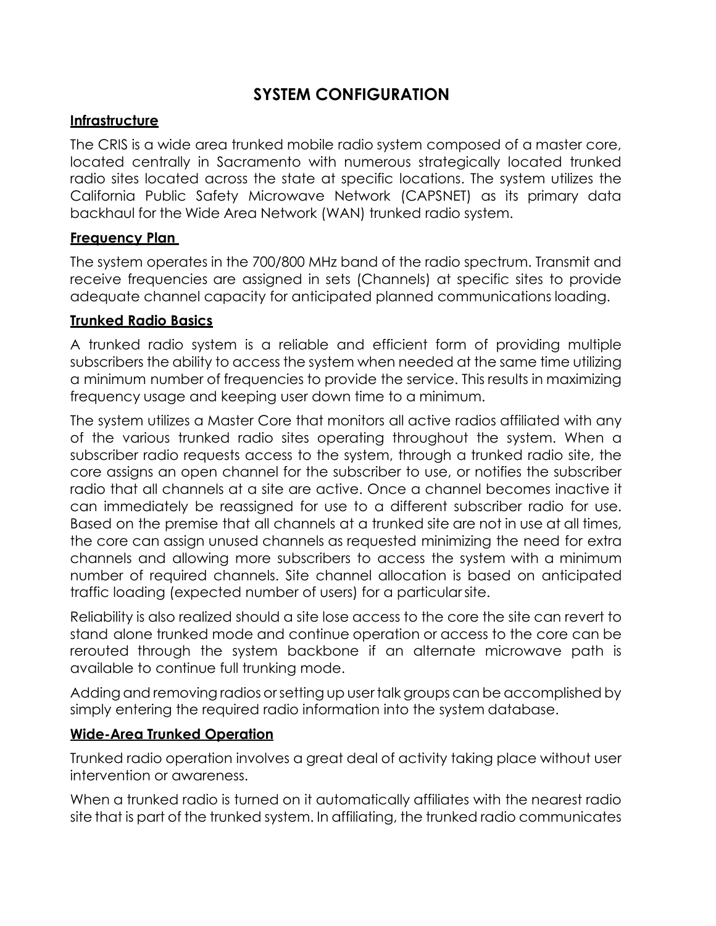### **SYSTEM CONFIGURATION**

#### <span id="page-9-0"></span>**Infrastructure**

The CRIS is a wide area trunked mobile radio system composed of a master core, located centrally in Sacramento with numerous strategically located trunked radio sites located across the state at specific locations. The system utilizes the California Public Safety Microwave Network (CAPSNET) as its primary data backhaul for the Wide Area Network (WAN) trunked radio system.

#### <span id="page-9-1"></span>**Frequency Plan**

The system operates in the 700/800 MHz band of the radio spectrum. Transmit and receive frequencies are assigned in sets (Channels) at specific sites to provide adequate channel capacity for anticipated planned communications loading.

#### <span id="page-9-2"></span>**Trunked Radio Basics**

A trunked radio system is a reliable and efficient form of providing multiple subscribers the ability to access the system when needed at the same time utilizing a minimum number of frequencies to provide the service. This results in maximizing frequency usage and keeping user down time to a minimum.

The system utilizes a Master Core that monitors all active radios affiliated with any of the various trunked radio sites operating throughout the system. When a subscriber radio requests access to the system, through a trunked radio site, the core assigns an open channel for the subscriber to use, or notifies the subscriber radio that all channels at a site are active. Once a channel becomes inactive it can immediately be reassigned for use to a different subscriber radio for use. Based on the premise that all channels at a trunked site are not in use at all times, the core can assign unused channels as requested minimizing the need for extra channels and allowing more subscribers to access the system with a minimum number of required channels. Site channel allocation is based on anticipated traffic loading (expected number of users) for a particularsite.

Reliability is also realized should a site lose access to the core the site can revert to stand alone trunked mode and continue operation or access to the core can be rerouted through the system backbone if an alternate microwave path is available to continue full trunking mode.

Adding and removing radios or setting up user talk groups can be accomplished by simply entering the required radio information into the system database.

#### <span id="page-9-3"></span>**Wide-Area Trunked Operation**

Trunked radio operation involves a great deal of activity taking place without user intervention or awareness.

When a trunked radio is turned on it automatically affiliates with the nearest radio site that is part of the trunked system. In affiliating, the trunked radio communicates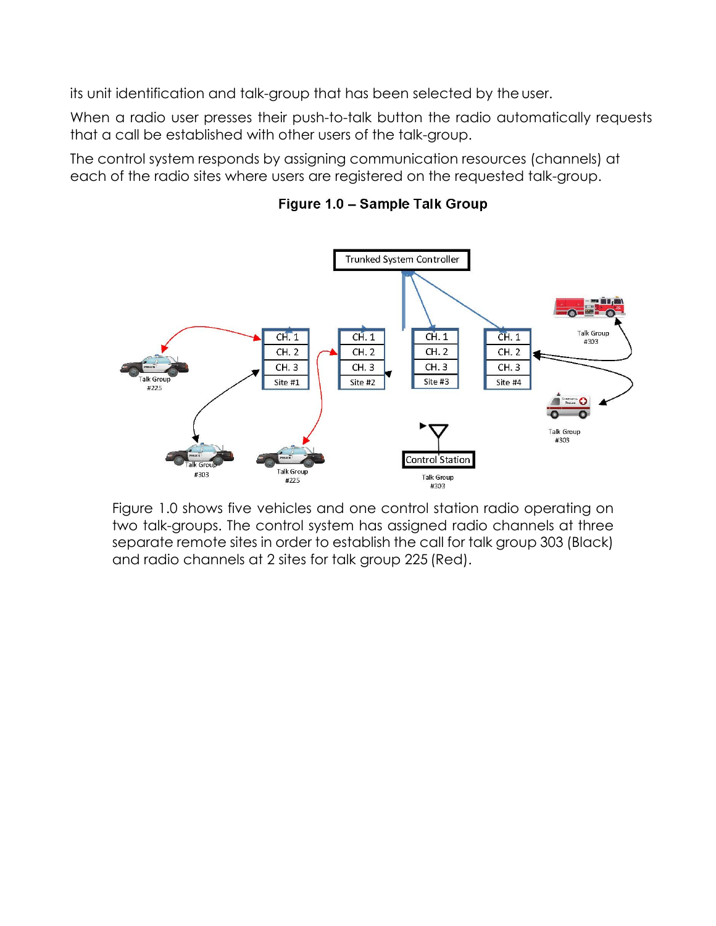its unit identification and talk-group that has been selected by the user.

When a radio user presses their push-to-talk button the radio automatically requests that a call be established with other users of the talk-group.

The control system responds by assigning communication resources (channels) at each of the radio sites where users are registered on the requested talk-group.



Figure 1.0 - Sample Talk Group

Figure 1.0 shows five vehicles and one control station radio operating on two talk-groups. The control system has assigned radio channels at three separate remote sites in order to establish the call for talk group 303 (Black) and radio channels at 2 sites for talk group 225 (Red).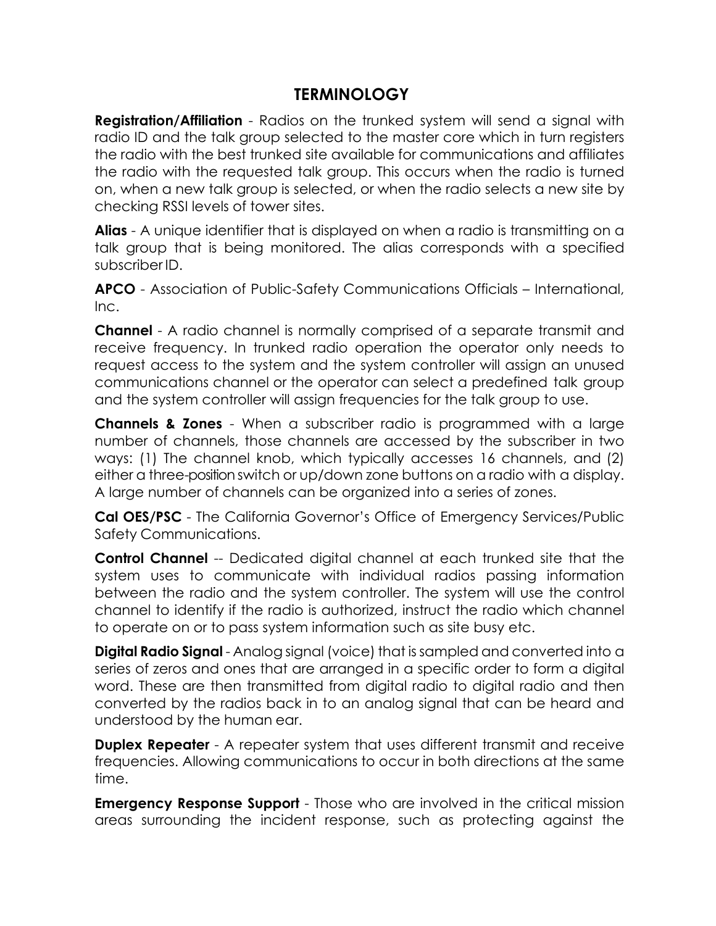# **TERMINOLOGY**

**Registration/Affiliation** - Radios on the trunked system will send a signal with radio ID and the talk group selected to the master core which in turn registers the radio with the best trunked site available for communications and affiliates the radio with the requested talk group. This occurs when the radio is turned on, when a new talk group is selected, or when the radio selects a new site by checking RSSI levels of tower sites.

**Alias** - A unique identifier that is displayed on when a radio is transmitting on a talk group that is being monitored. The alias corresponds with a specified subscriber ID.

**APCO** - Association of Public-Safety Communications Officials – International, Inc.

**Channel** - A radio channel is normally comprised of a separate transmit and receive frequency. In trunked radio operation the operator only needs to request access to the system and the system controller will assign an unused communications channel or the operator can select a predefined talk group and the system controller will assign frequencies for the talk group to use.

**Channels & Zones** - When a subscriber radio is programmed with a large number of channels, those channels are accessed by the subscriber in two ways: (1) The channel knob, which typically accesses 16 channels, and (2) either a three-position switch or up/down zone buttons on a radio with a display. A large number of channels can be organized into a series of zones.

**Cal OES/PSC** - The California Governor's Office of Emergency Services/Public Safety Communications.

**Control Channel** -- Dedicated digital channel at each trunked site that the system uses to communicate with individual radios passing information between the radio and the system controller. The system will use the control channel to identify if the radio is authorized, instruct the radio which channel to operate on or to pass system information such as site busy etc.

**Digital Radio Signal** - Analog signal (voice) that issampled and converted into a series of zeros and ones that are arranged in a specific order to form a digital word. These are then transmitted from digital radio to digital radio and then converted by the radios back in to an analog signal that can be heard and understood by the human ear.

**Duplex Repeater** - A repeater system that uses different transmit and receive frequencies. Allowing communications to occur in both directions at the same time.

**Emergency Response Support** - Those who are involved in the critical mission areas surrounding the incident response, such as protecting against the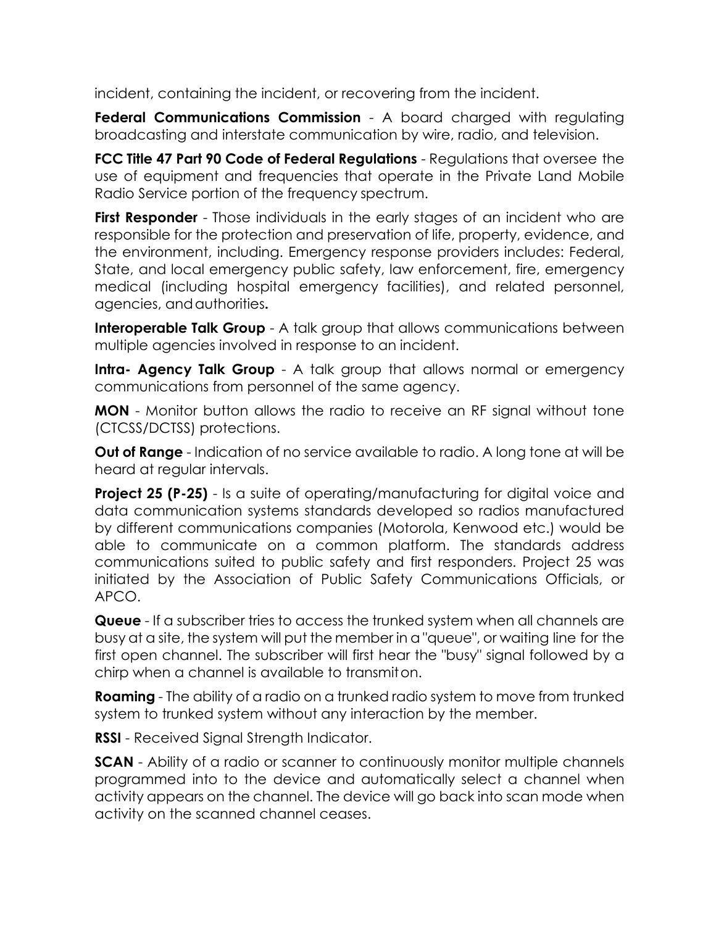incident, containing the incident, or recovering from the incident.

**Federal Communications Commission** - A board charged with regulating broadcasting and interstate communication by wire, radio, and television.

**FCC Title 47 Part 90 Code of Federal Regulations** - Regulations that oversee the use of equipment and frequencies that operate in the Private Land Mobile Radio Service portion of the frequency spectrum.

**First Responder** - Those individuals in the early stages of an incident who are responsible for the protection and preservation of life, property, evidence, and the environment, including. Emergency response providers includes: Federal, State, and local emergency public safety, law enforcement, fire, emergency medical (including hospital emergency facilities), and related personnel, agencies, andauthorities**.**

**Interoperable Talk Group** - A talk group that allows communications between multiple agencies involved in response to an incident.

**Intra- Agency Talk Group** - A talk group that allows normal or emergency communications from personnel of the same agency.

**MON** - Monitor button allows the radio to receive an RF signal without tone (CTCSS/DCTSS) protections.

**Out of Range** - Indication of no service available to radio. A long tone at will be heard at regular intervals.

**Project 25 (P-25)** - Is a suite of operating/manufacturing for digital voice and data communication systems standards developed so radios manufactured by different communications companies (Motorola, Kenwood etc.) would be able to communicate on a common platform. The standards address communications suited to public safety and first responders. Project 25 was initiated by the [Association of Public Safety](https://www.apcointl.org/) [Communications Officials,](https://www.apcointl.org/) or APCO.

**Queue** - If a subscriber tries to access the trunked system when all channels are busy at a site, the system will put the member in a "queue", or waiting line for the first open channel. The subscriber will first hear the "busy" signal followed by a chirp when a channel is available to transmiton.

**Roaming** - The ability of a radio on a trunked radio system to move from trunked system to trunked system without any interaction by the member.

**RSSI** - Received Signal Strength Indicator.

**SCAN** - Ability of a radio or scanner to continuously monitor multiple channels programmed into to the device and automatically select a channel when activity appears on the channel. The device will go back into scan mode when activity on the scanned channel ceases.